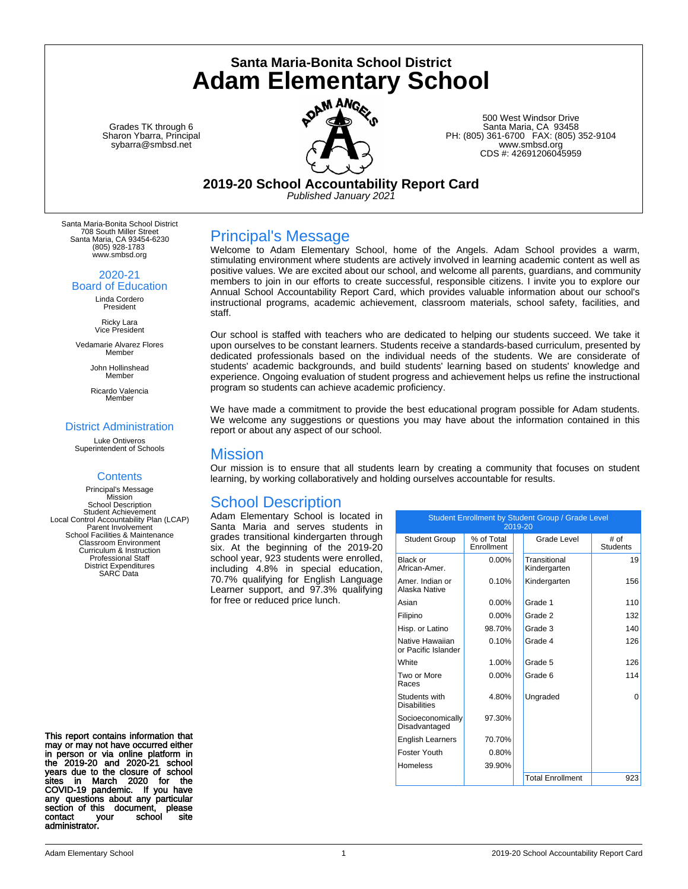Grades TK through 6 Sharon Ybarra, Principal sybarra@smbsd.net



**Santa Maria-Bonita School District Adam Elementary School**

> 500 West Windsor Drive Santa Maria, CA 93458 PH: (805) 361-6700 FAX: (805) 352-9104 www.smbsd.org CDS #: 42691206045959

**2019-20 School Accountability Report Card**

*Published January 2021*

Santa Maria-Bonita School District 708 South Miller Street Santa Maria, CA 93454-6230 (805) 928-1783 www.smbsd.org

2020-21

Board of Education Linda Cordero President

> Ricky Lara Vice President

Vedamarie Alvarez Flores Member

> John Hollinshead Member

> Ricardo Valencia Member

### District Administration

Luke Ontiveros Superintendent of Schools

### **Contents**

Principal's Message Mission School Description Student Achievement Local Control Accountability Plan (LCAP) Parent Involvement School Facilities & Maintenance Classroom Environment Curriculum & Instruction Professional Staff District Expenditures SARC Data

This report contains information that may or may not have occurred either in person or via online platform in the 2019-20 and 2020-21 school years due to the closure of school sites in March 2020 for the COVID-19 pandemic. If you have any questions about any particular section of this document, please contact your school site administrator.

### Principal's Message

Welcome to Adam Elementary School, home of the Angels. Adam School provides a warm, stimulating environment where students are actively involved in learning academic content as well as positive values. We are excited about our school, and welcome all parents, guardians, and community members to join in our efforts to create successful, responsible citizens. I invite you to explore our Annual School Accountability Report Card, which provides valuable information about our school's instructional programs, academic achievement, classroom materials, school safety, facilities, and staff.

Our school is staffed with teachers who are dedicated to helping our students succeed. We take it upon ourselves to be constant learners. Students receive a standards-based curriculum, presented by dedicated professionals based on the individual needs of the students. We are considerate of students' academic backgrounds, and build students' learning based on students' knowledge and experience. Ongoing evaluation of student progress and achievement helps us refine the instructional program so students can achieve academic proficiency.

We have made a commitment to provide the best educational program possible for Adam students. We welcome any suggestions or questions you may have about the information contained in this report or about any aspect of our school.

### Mission

Our mission is to ensure that all students learn by creating a community that focuses on student learning, by working collaboratively and holding ourselves accountable for results.

### School Description

Adam Elementary School is located in Santa Maria and serves students in grades transitional kindergarten through six. At the beginning of the 2019-20 school year, 923 students were enrolled, including 4.8% in special education, 70.7% qualifying for English Language Learner support, and 97.3% qualifying for free or reduced price lunch.

| Student Enrollment by Student Group / Grade Level<br>2019-20 |                          |  |                              |                         |  |  |
|--------------------------------------------------------------|--------------------------|--|------------------------------|-------------------------|--|--|
| <b>Student Group</b>                                         | % of Total<br>Enrollment |  | Grade Level                  | # of<br><b>Students</b> |  |  |
| Black or<br>African-Amer.                                    | $0.00\%$                 |  | Transitional<br>Kindergarten | 19                      |  |  |
| Amer, Indian or<br>Alaska Native                             | 0.10%                    |  | Kindergarten                 | 156                     |  |  |
| Asian                                                        | $0.00\%$                 |  | Grade 1                      | 110                     |  |  |
| Filipino                                                     | $0.00\%$                 |  | Grade 2                      | 132                     |  |  |
| Hisp. or Latino                                              | 98.70%                   |  | Grade 3                      | 140                     |  |  |
| Native Hawaiian<br>or Pacific Islander                       | 0.10%                    |  | Grade 4                      | 126                     |  |  |
| White                                                        | 1.00%                    |  | Grade 5                      | 126                     |  |  |
| Two or More<br>Races                                         | $0.00\%$                 |  | Grade 6                      | 114                     |  |  |
| Students with<br><b>Disabilities</b>                         | 4.80%                    |  | Ungraded                     | 0                       |  |  |
| Socioeconomically<br>Disadvantaged                           | 97.30%                   |  |                              |                         |  |  |
| <b>English Learners</b>                                      | 70.70%                   |  |                              |                         |  |  |
| Foster Youth                                                 | 0.80%                    |  |                              |                         |  |  |
| <b>Homeless</b>                                              | 39.90%                   |  |                              |                         |  |  |
|                                                              |                          |  | <b>Total Enrollment</b>      | 923                     |  |  |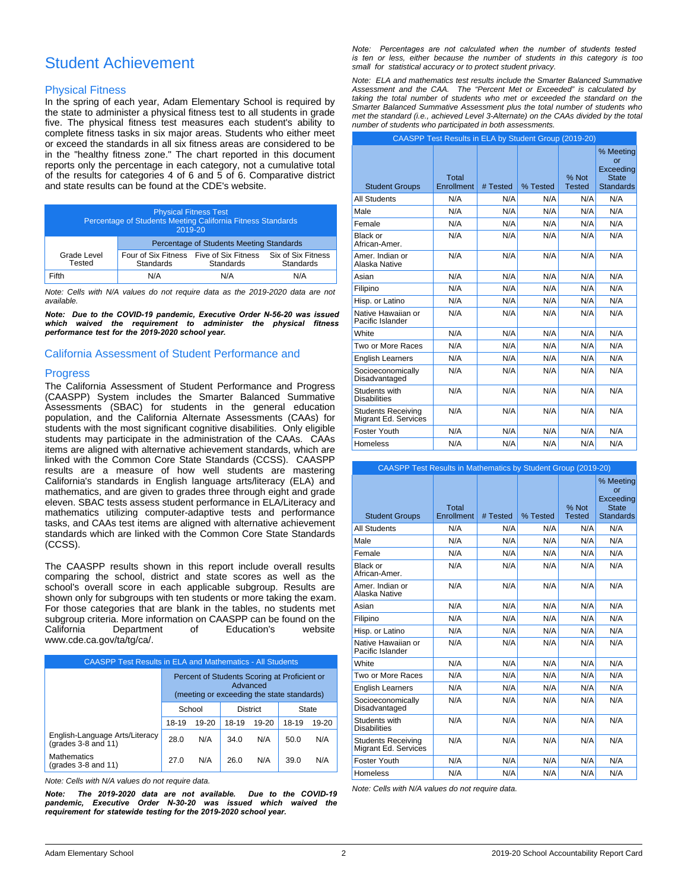# Student Achievement

### Physical Fitness

In the spring of each year, Adam Elementary School is required by the state to administer a physical fitness test to all students in grade five. The physical fitness test measures each student's ability to complete fitness tasks in six major areas. Students who either meet or exceed the standards in all six fitness areas are considered to be in the "healthy fitness zone." The chart reported in this document reports only the percentage in each category, not a cumulative total of the results for categories 4 of 6 and 5 of 6. Comparative district and state results can be found at the CDE's website.

| <b>Physical Fitness Test</b><br>Percentage of Students Meeting California Fitness Standards<br>2019-20 |                                                             |                  |                                 |  |
|--------------------------------------------------------------------------------------------------------|-------------------------------------------------------------|------------------|---------------------------------|--|
|                                                                                                        | Percentage of Students Meeting Standards                    |                  |                                 |  |
| Grade Level<br>Tested                                                                                  | Four of Six Fitness Five of Six Fitness<br><b>Standards</b> | <b>Standards</b> | Six of Six Fitness<br>Standards |  |
| Fifth                                                                                                  | N/A                                                         | N/A              | N/A                             |  |

*Note: Cells with N/A values do not require data as the 2019-2020 data are not available.*

*Note: Due to the COVID-19 pandemic, Executive Order N-56-20 was issued which waived the requirement to administer the physical fitness performance test for the 2019-2020 school year.*

### California Assessment of Student Performance and

### **Progress**

The California Assessment of Student Performance and Progress (CAASPP) System includes the Smarter Balanced Summative Assessments (SBAC) for students in the general education population, and the California Alternate Assessments (CAAs) for students with the most significant cognitive disabilities. Only eligible students may participate in the administration of the CAAs. CAAs items are aligned with alternative achievement standards, which are linked with the Common Core State Standards (CCSS). CAASPP results are a measure of how well students are mastering California's standards in English language arts/literacy (ELA) and mathematics, and are given to grades three through eight and grade eleven. SBAC tests assess student performance in ELA/Literacy and mathematics utilizing computer-adaptive tests and performance tasks, and CAAs test items are aligned with alternative achievement standards which are linked with the Common Core State Standards (CCSS).

The CAASPP results shown in this report include overall results comparing the school, district and state scores as well as the school's overall score in each applicable subgroup. Results are shown only for subgroups with ten students or more taking the exam. For those categories that are blank in the tables, no students met subgroup criteria. More information on CAASPP can be found on the California Department of Education's website www.cde.ca.gov/ta/tg/ca/.

| <b>CAASPP Test Results in ELA and Mathematics - All Students</b> |                                                                                                        |       |       |           |       |       |  |
|------------------------------------------------------------------|--------------------------------------------------------------------------------------------------------|-------|-------|-----------|-------|-------|--|
|                                                                  | Percent of Students Scoring at Proficient or<br>Advanced<br>(meeting or exceeding the state standards) |       |       |           |       |       |  |
|                                                                  | School<br><b>District</b><br>State                                                                     |       |       |           |       |       |  |
|                                                                  | 18-19                                                                                                  | 19-20 | 18-19 | $19 - 20$ | 18-19 | 19-20 |  |
| English-Language Arts/Literacy<br>(grades 3-8 and 11)            | 28.0                                                                                                   | N/A   | 34.0  | N/A       | 50.0  | N/A   |  |
| <b>Mathematics</b><br>(grades $3-8$ and $11$ )                   | N/A<br>270<br>N/A<br>N/A<br>26.0<br>39 O                                                               |       |       |           |       |       |  |

*Note: Cells with N/A values do not require data.*

*Note: The 2019-2020 data are not available. Due to the COVID-19*  pandemic, Executive Order N-30-20 was issued which waived the *requirement for statewide testing for the 2019-2020 school year.*

*Note: Percentages are not calculated when the number of students tested is ten or less, either because the number of students in this category is too small for statistical accuracy or to protect student privacy.*

*Note: ELA and mathematics test results include the Smarter Balanced Summative Assessment and the CAA. The "Percent Met or Exceeded" is calculated by taking the total number of students who met or exceeded the standard on the Smarter Balanced Summative Assessment plus the total number of students who met the standard (i.e., achieved Level 3-Alternate) on the CAAs divided by the total number of students who participated in both assessments.*

|                                                   | CAASPP Test Results in ELA by Student Group (2019-20) |          |          |                        |                                                                  |
|---------------------------------------------------|-------------------------------------------------------|----------|----------|------------------------|------------------------------------------------------------------|
| <b>Student Groups</b>                             | Total<br>Enrollment                                   | # Tested | % Tested | % Not<br><b>Tested</b> | % Meeting<br>or<br>Exceeding<br><b>State</b><br><b>Standards</b> |
| <b>All Students</b>                               | N/A                                                   | N/A      | N/A      | N/A                    | N/A                                                              |
| Male                                              | N/A                                                   | N/A      | N/A      | N/A                    | N/A                                                              |
| Female                                            | N/A                                                   | N/A      | N/A      | N/A                    | N/A                                                              |
| Black or<br>African-Amer.                         | N/A                                                   | N/A      | N/A      | N/A                    | N/A                                                              |
| Amer. Indian or<br>Alaska Native                  | N/A                                                   | N/A      | N/A      | N/A                    | N/A                                                              |
| Asian                                             | N/A                                                   | N/A      | N/A      | N/A                    | N/A                                                              |
| Filipino                                          | N/A                                                   | N/A      | N/A      | N/A                    | N/A                                                              |
| Hisp. or Latino                                   | N/A                                                   | N/A      | N/A      | N/A                    | N/A                                                              |
| Native Hawaiian or<br>Pacific Islander            | N/A                                                   | N/A      | N/A      | N/A                    | N/A                                                              |
| White                                             | N/A                                                   | N/A      | N/A      | N/A                    | N/A                                                              |
| Two or More Races                                 | N/A                                                   | N/A      | N/A      | N/A                    | N/A                                                              |
| <b>English Learners</b>                           | N/A                                                   | N/A      | N/A      | N/A                    | N/A                                                              |
| Socioeconomically<br>Disadvantaged                | N/A                                                   | N/A      | N/A      | N/A                    | N/A                                                              |
| Students with<br><b>Disabilities</b>              | N/A                                                   | N/A      | N/A      | N/A                    | N/A                                                              |
| <b>Students Receiving</b><br>Migrant Ed. Services | N/A                                                   | N/A      | N/A      | N/A                    | N/A                                                              |
| Foster Youth                                      | N/A                                                   | N/A      | N/A      | N/A                    | N/A                                                              |
| <b>Homeless</b>                                   | N/A                                                   | N/A      | N/A      | N/A                    | N/A                                                              |

| <b>CAASPP Test Results in Mathematics by Student Group (2019-20)</b> |                     |          |          |                        |                                                                  |
|----------------------------------------------------------------------|---------------------|----------|----------|------------------------|------------------------------------------------------------------|
| <b>Student Groups</b>                                                | Total<br>Enrollment | # Tested | % Tested | % Not<br><b>Tested</b> | % Meeting<br>or<br>Exceeding<br><b>State</b><br><b>Standards</b> |
| <b>All Students</b>                                                  | N/A                 | N/A      | N/A      | N/A                    | N/A                                                              |
| Male                                                                 | N/A                 | N/A      | N/A      | N/A                    | N/A                                                              |
| Female                                                               | N/A                 | N/A      | N/A      | N/A                    | N/A                                                              |
| Black or<br>African-Amer.                                            | N/A                 | N/A      | N/A      | N/A                    | N/A                                                              |
| Amer. Indian or<br>Alaska Native                                     | N/A                 | N/A      | N/A      | N/A                    | N/A                                                              |
| Asian                                                                | N/A                 | N/A      | N/A      | N/A                    | N/A                                                              |
| Filipino                                                             | N/A                 | N/A      | N/A      | N/A                    | N/A                                                              |
| Hisp. or Latino                                                      | N/A                 | N/A      | N/A      | N/A                    | N/A                                                              |
| Native Hawaiian or<br>Pacific Islander                               | N/A                 | N/A      | N/A      | N/A                    | N/A                                                              |
| <b>White</b>                                                         | N/A                 | N/A      | N/A      | N/A                    | N/A                                                              |
| Two or More Races                                                    | N/A                 | N/A      | N/A      | N/A                    | N/A                                                              |
| <b>English Learners</b>                                              | N/A                 | N/A      | N/A      | N/A                    | N/A                                                              |
| Socioeconomically<br>Disadvantaged                                   | N/A                 | N/A      | N/A      | N/A                    | N/A                                                              |
| Students with<br><b>Disabilities</b>                                 | N/A                 | N/A      | N/A      | N/A                    | N/A                                                              |
| <b>Students Receiving</b><br>Migrant Ed. Services                    | N/A                 | N/A      | N/A      | N/A                    | N/A                                                              |
| Foster Youth                                                         | N/A                 | N/A      | N/A      | N/A                    | N/A                                                              |
| Homeless                                                             | N/A                 | N/A      | N/A      | N/A                    | N/A                                                              |

*Note: Cells with N/A values do not require data.*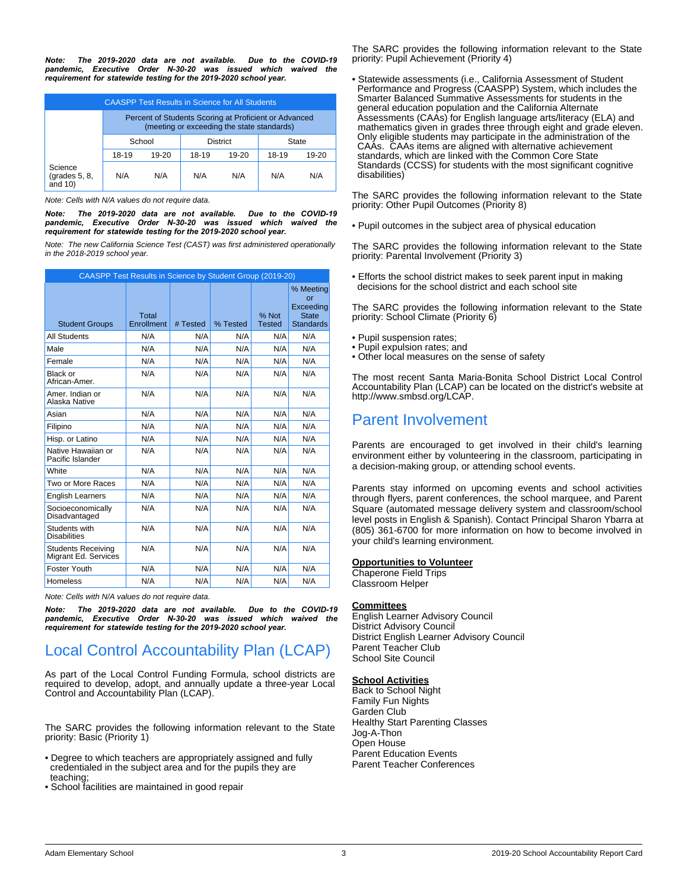*Note: The 2019-2020 data are not available. Due to the COVID-19 pandemic, Executive Order N-30-20 was issued which waived the requirement for statewide testing for the 2019-2020 school year.*

| <b>CAASPP Test Results in Science for All Students</b> |                                                                                                     |     |     |     |       |       |
|--------------------------------------------------------|-----------------------------------------------------------------------------------------------------|-----|-----|-----|-------|-------|
|                                                        | Percent of Students Scoring at Proficient or Advanced<br>(meeting or exceeding the state standards) |     |     |     |       |       |
|                                                        | <b>District</b><br>School<br>State                                                                  |     |     |     |       |       |
|                                                        | 18-19<br>19-20<br>18-19<br>$19-20$                                                                  |     |     |     | 18-19 | 19-20 |
| Science<br>$\left($ grades 5, 8,<br>and $10$ )         | N/A                                                                                                 | N/A | N/A | N/A | N/A   | N/A   |

*Note: Cells with N/A values do not require data.*

*Note: The 2019-2020 data are not available. Due to the COVID-19*  pandemic, Executive Order N-30-20 was issued which waived the *requirement for statewide testing for the 2019-2020 school year.*

*Note: The new California Science Test (CAST) was first administered operationally in the 2018-2019 school year.*

| CAASPP Test Results in Science by Student Group (2019-20) |                     |          |          |                        |                                                                  |
|-----------------------------------------------------------|---------------------|----------|----------|------------------------|------------------------------------------------------------------|
| <b>Student Groups</b>                                     | Total<br>Enrollment | # Tested | % Tested | % Not<br><b>Tested</b> | % Meeting<br>or<br>Exceeding<br><b>State</b><br><b>Standards</b> |
| <b>All Students</b>                                       | N/A                 | N/A      | N/A      | N/A                    | N/A                                                              |
| Male                                                      | N/A                 | N/A      | N/A      | N/A                    | N/A                                                              |
| Female                                                    | N/A                 | N/A      | N/A      | N/A                    | N/A                                                              |
| Black or<br>African-Amer.                                 | N/A                 | N/A      | N/A      | N/A                    | N/A                                                              |
| Amer, Indian or<br>Alaska Native                          | N/A                 | N/A      | N/A      | N/A                    | N/A                                                              |
| Asian                                                     | N/A                 | N/A      | N/A      | N/A                    | N/A                                                              |
| Filipino                                                  | N/A                 | N/A      | N/A      | N/A                    | N/A                                                              |
| Hisp. or Latino                                           | N/A                 | N/A      | N/A      | N/A                    | N/A                                                              |
| Native Hawaiian or<br>Pacific Islander                    | N/A                 | N/A      | N/A      | N/A                    | N/A                                                              |
| White                                                     | N/A                 | N/A      | N/A      | N/A                    | N/A                                                              |
| Two or More Races                                         | N/A                 | N/A      | N/A      | N/A                    | N/A                                                              |
| <b>English Learners</b>                                   | N/A                 | N/A      | N/A      | N/A                    | N/A                                                              |
| Socioeconomically<br>Disadvantaged                        | N/A                 | N/A      | N/A      | N/A                    | N/A                                                              |
| Students with<br><b>Disabilities</b>                      | N/A                 | N/A      | N/A      | N/A                    | N/A                                                              |
| <b>Students Receiving</b><br>Migrant Ed. Services         | N/A                 | N/A      | N/A      | N/A                    | N/A                                                              |
| Foster Youth                                              | N/A                 | N/A      | N/A      | N/A                    | N/A                                                              |
| Homeless                                                  | N/A                 | N/A      | N/A      | N/A                    | N/A                                                              |

*Note: Cells with N/A values do not require data.*

*Note: The 2019-2020 data are not available. Due to the COVID-19 pandemic, Executive Order N-30-20 was issued which waived the requirement for statewide testing for the 2019-2020 school year.*

# Local Control Accountability Plan (LCAP)

As part of the Local Control Funding Formula, school districts are required to develop, adopt, and annually update a three-year Local Control and Accountability Plan (LCAP).

The SARC provides the following information relevant to the State priority: Basic (Priority 1)

- Degree to which teachers are appropriately assigned and fully credentialed in the subject area and for the pupils they are teaching;
- School facilities are maintained in good repair

The SARC provides the following information relevant to the State priority: Pupil Achievement (Priority 4)

• Statewide assessments (i.e., California Assessment of Student Performance and Progress (CAASPP) System, which includes the Smarter Balanced Summative Assessments for students in the general education population and the California Alternate Assessments (CAAs) for English language arts/literacy (ELA) and mathematics given in grades three through eight and grade eleven. Only eligible students may participate in the administration of the CAAs. CAAs items are aligned with alternative achievement standards, which are linked with the Common Core State Standards (CCSS) for students with the most significant cognitive disabilities)

The SARC provides the following information relevant to the State priority: Other Pupil Outcomes (Priority 8)

• Pupil outcomes in the subject area of physical education

The SARC provides the following information relevant to the State priority: Parental Involvement (Priority 3)

• Efforts the school district makes to seek parent input in making decisions for the school district and each school site

The SARC provides the following information relevant to the State priority: School Climate (Priority 6)

- Pupil suspension rates;
- Pupil expulsion rates; and
- Other local measures on the sense of safety

The most recent Santa Maria-Bonita School District Local Control Accountability Plan (LCAP) can be located on the district's website at http://www.smbsd.org/LCAP.

### Parent Involvement

Parents are encouraged to get involved in their child's learning environment either by volunteering in the classroom, participating in a decision-making group, or attending school events.

Parents stay informed on upcoming events and school activities through flyers, parent conferences, the school marquee, and Parent Square (automated message delivery system and classroom/school level posts in English & Spanish). Contact Principal Sharon Ybarra at (805) 361-6700 for more information on how to become involved in your child's learning environment.

### **Opportunities to Volunteer**

Chaperone Field Trips Classroom Helper

#### **Committees**

English Learner Advisory Council District Advisory Council District English Learner Advisory Council Parent Teacher Club School Site Council

#### **School Activities**

Back to School Night Family Fun Nights Garden Club Healthy Start Parenting Classes Jog-A-Thon Open House Parent Education Events Parent Teacher Conferences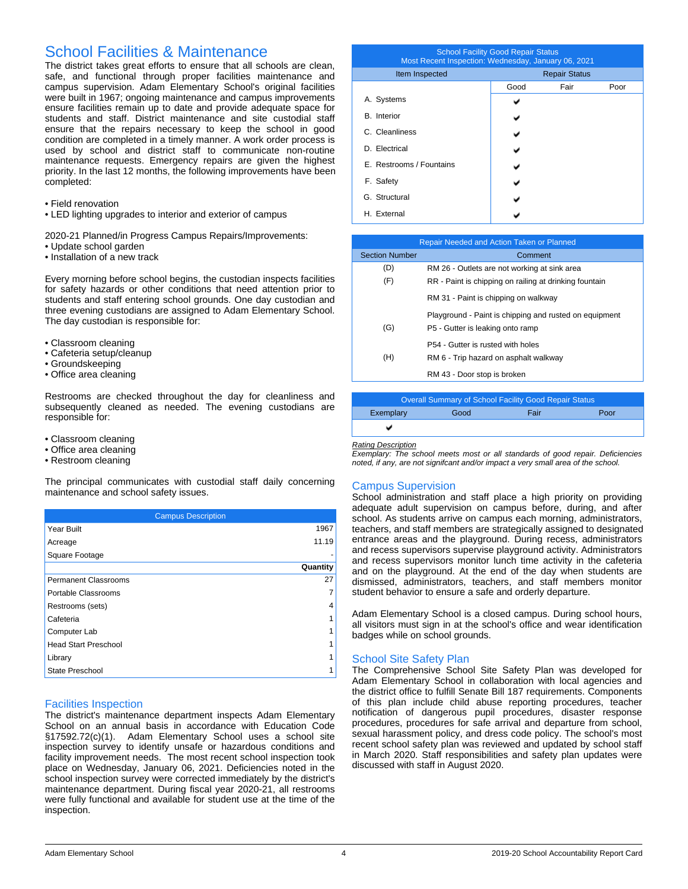# School Facilities & Maintenance

The district takes great efforts to ensure that all schools are clean, safe, and functional through proper facilities maintenance and campus supervision. Adam Elementary School's original facilities were built in 1967; ongoing maintenance and campus improvements ensure facilities remain up to date and provide adequate space for students and staff. District maintenance and site custodial staff ensure that the repairs necessary to keep the school in good condition are completed in a timely manner. A work order process is used by school and district staff to communicate non-routine maintenance requests. Emergency repairs are given the highest priority. In the last 12 months, the following improvements have been completed:

- Field renovation
- LED lighting upgrades to interior and exterior of campus

2020-21 Planned/in Progress Campus Repairs/Improvements:

- Update school garden
- Installation of a new track

Every morning before school begins, the custodian inspects facilities for safety hazards or other conditions that need attention prior to students and staff entering school grounds. One day custodian and three evening custodians are assigned to Adam Elementary School. The day custodian is responsible for:

- Classroom cleaning
- Cafeteria setup/cleanup
- Groundskeeping
- Office area cleaning

Restrooms are checked throughout the day for cleanliness and subsequently cleaned as needed. The evening custodians are responsible for:

- Classroom cleaning
- Office area cleaning
- Restroom cleaning

The principal communicates with custodial staff daily concerning maintenance and school safety issues.

| <b>Campus Description</b>   |          |
|-----------------------------|----------|
| Year Built                  | 1967     |
| Acreage                     | 11.19    |
| Square Footage              |          |
|                             | Quantity |
| <b>Permanent Classrooms</b> | 27       |
| Portable Classrooms         |          |
| Restrooms (sets)            | 4        |
| Cafeteria                   |          |
| Computer Lab                |          |
| <b>Head Start Preschool</b> |          |
| Library                     |          |
| State Preschool             |          |

#### Facilities Inspection

The district's maintenance department inspects Adam Elementary School on an annual basis in accordance with Education Code §17592.72(c)(1). Adam Elementary School uses a school site inspection survey to identify unsafe or hazardous conditions and facility improvement needs. The most recent school inspection took place on Wednesday, January 06, 2021. Deficiencies noted in the school inspection survey were corrected immediately by the district's maintenance department. During fiscal year 2020-21, all restrooms were fully functional and available for student use at the time of the inspection.

| <b>School Facility Good Repair Status</b><br>Most Recent Inspection: Wednesday, January 06, 2021 |                      |      |      |  |  |  |
|--------------------------------------------------------------------------------------------------|----------------------|------|------|--|--|--|
| Item Inspected                                                                                   | <b>Repair Status</b> |      |      |  |  |  |
|                                                                                                  | Good                 | Fair | Poor |  |  |  |
| A. Systems                                                                                       |                      |      |      |  |  |  |
| <b>B.</b> Interior                                                                               |                      |      |      |  |  |  |
| C. Cleanliness                                                                                   |                      |      |      |  |  |  |
| D. Electrical                                                                                    |                      |      |      |  |  |  |
| E. Restrooms / Fountains                                                                         |                      |      |      |  |  |  |
| F. Safety                                                                                        |                      |      |      |  |  |  |
| G. Structural                                                                                    |                      |      |      |  |  |  |
| H. External                                                                                      |                      |      |      |  |  |  |

| Repair Needed and Action Taken or Planned |                                                        |  |  |  |  |
|-------------------------------------------|--------------------------------------------------------|--|--|--|--|
| <b>Section Number</b>                     | Comment                                                |  |  |  |  |
| (D)                                       | RM 26 - Outlets are not working at sink area           |  |  |  |  |
| (F)                                       | RR - Paint is chipping on railing at drinking fountain |  |  |  |  |
|                                           | RM 31 - Paint is chipping on walkway                   |  |  |  |  |
|                                           | Playground - Paint is chipping and rusted on equipment |  |  |  |  |
| (G)                                       | P5 - Gutter is leaking onto ramp                       |  |  |  |  |
|                                           | P54 - Gutter is rusted with holes                      |  |  |  |  |
| (H)                                       | RM 6 - Trip hazard on asphalt walkway                  |  |  |  |  |
|                                           | RM 43 - Door stop is broken                            |  |  |  |  |

| Overall Summary of School Facility Good Repair Status |      |      |      |  |  |
|-------------------------------------------------------|------|------|------|--|--|
| Exemplary                                             | Good | Fair | Poor |  |  |
|                                                       |      |      |      |  |  |

#### *Rating Description*

*Exemplary: The school meets most or all standards of good repair. Deficiencies noted, if any, are not signifcant and/or impact a very small area of the school.*

#### Campus Supervision

School administration and staff place a high priority on providing adequate adult supervision on campus before, during, and after school. As students arrive on campus each morning, administrators, teachers, and staff members are strategically assigned to designated entrance areas and the playground. During recess, administrators and recess supervisors supervise playground activity. Administrators and recess supervisors monitor lunch time activity in the cafeteria and on the playground. At the end of the day when students are dismissed, administrators, teachers, and staff members monitor student behavior to ensure a safe and orderly departure.

Adam Elementary School is a closed campus. During school hours, all visitors must sign in at the school's office and wear identification badges while on school grounds.

### School Site Safety Plan

The Comprehensive School Site Safety Plan was developed for Adam Elementary School in collaboration with local agencies and the district office to fulfill Senate Bill 187 requirements. Components of this plan include child abuse reporting procedures, teacher notification of dangerous pupil procedures, disaster response procedures, procedures for safe arrival and departure from school, sexual harassment policy, and dress code policy. The school's most recent school safety plan was reviewed and updated by school staff in March 2020. Staff responsibilities and safety plan updates were discussed with staff in August 2020.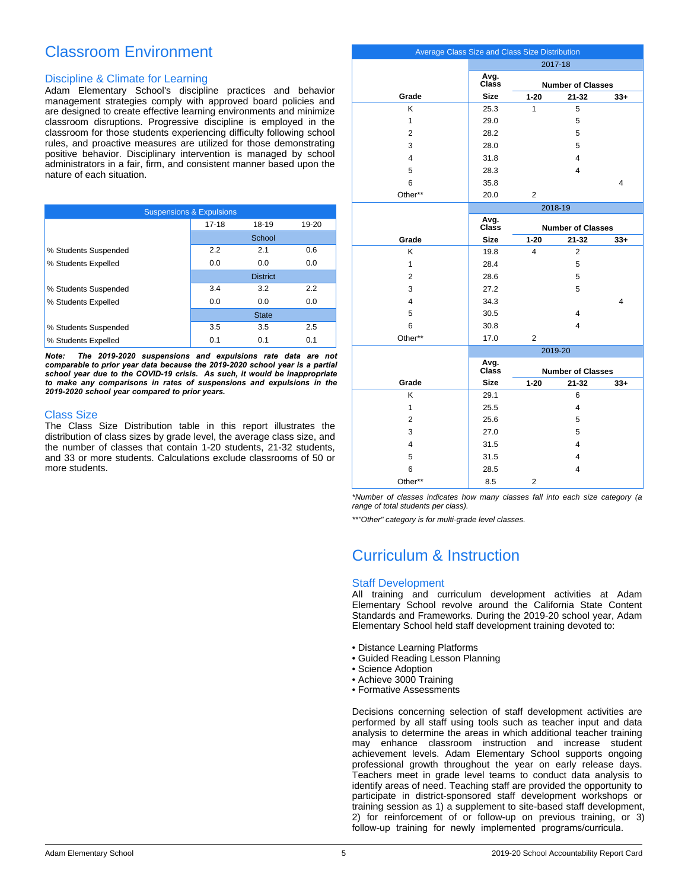# Classroom Environment

### Discipline & Climate for Learning

Adam Elementary School's discipline practices and behavior management strategies comply with approved board policies and are designed to create effective learning environments and minimize classroom disruptions. Progressive discipline is employed in the classroom for those students experiencing difficulty following school rules, and proactive measures are utilized for those demonstrating positive behavior. Disciplinary intervention is managed by school administrators in a fair, firm, and consistent manner based upon the nature of each situation.

| <b>Suspensions &amp; Expulsions</b> |           |                 |       |  |  |  |
|-------------------------------------|-----------|-----------------|-------|--|--|--|
|                                     | $17 - 18$ | 18-19           | 19-20 |  |  |  |
|                                     |           | School          |       |  |  |  |
| % Students Suspended                | 2.2       | 2.1             | 0.6   |  |  |  |
| % Students Expelled                 | 0.0       | 0.0             | 0.0   |  |  |  |
|                                     |           | <b>District</b> |       |  |  |  |
| % Students Suspended                | 3.4       | 3.2             | 2.2   |  |  |  |
| % Students Expelled                 | 0.0       | 0.0             | 0.0   |  |  |  |
|                                     |           | <b>State</b>    |       |  |  |  |
| % Students Suspended                | 3.5       | 3.5             | 2.5   |  |  |  |
| % Students Expelled                 | 0.1       | 0.1             | 0.1   |  |  |  |

*Note: The 2019-2020 suspensions and expulsions rate data are not comparable to prior year data because the 2019-2020 school year is a partial school year due to the COVID-19 crisis. As such, it would be inappropriate to make any comparisons in rates of suspensions and expulsions in the 2019-2020 school year compared to prior years.*

### Class Size

The Class Size Distribution table in this report illustrates the distribution of class sizes by grade level, the average class size, and the number of classes that contain 1-20 students, 21-32 students, and 33 or more students. Calculations exclude classrooms of 50 or more students.

| Average Class Size and Class Size Distribution |               |                          |                          |       |
|------------------------------------------------|---------------|--------------------------|--------------------------|-------|
|                                                | 2017-18       |                          |                          |       |
|                                                | Avg.<br>Class |                          |                          |       |
|                                                |               |                          | <b>Number of Classes</b> |       |
| Grade                                          | <b>Size</b>   | $1 - 20$                 | $21 - 32$                | $33+$ |
| K                                              | 25.3          | 1                        | 5                        |       |
| $\mathbf{1}$                                   | 29.0          |                          | 5                        |       |
| $\overline{2}$                                 | 28.2          |                          | 5                        |       |
| 3                                              | 28.0          |                          | 5                        |       |
| 4                                              | 31.8          |                          | 4                        |       |
| 5                                              | 28.3          |                          | 4                        |       |
| 6                                              | 35.8          |                          |                          | 4     |
| Other**                                        | 20.0          | $\overline{2}$           |                          |       |
|                                                |               |                          | 2018-19                  |       |
|                                                | Avg.<br>Class | <b>Number of Classes</b> |                          |       |
| Grade                                          | <b>Size</b>   | $1 - 20$                 | $21 - 32$                | $33+$ |
| K                                              | 19.8          | 4                        | $\overline{2}$           |       |
| $\mathbf{1}$                                   | 28.4          |                          | 5                        |       |
| $\overline{2}$                                 | 28.6          |                          | 5                        |       |
| 3                                              | 27.2          |                          | 5                        |       |
| 4                                              | 34.3          |                          |                          | 4     |
| 5                                              | 30.5          |                          | 4                        |       |
| 6                                              | 30.8          |                          | 4                        |       |
| Other**                                        | 17.0          | $\overline{2}$           |                          |       |
|                                                |               |                          | 2019-20                  |       |
|                                                | Avg.          |                          |                          |       |
|                                                | Class         | <b>Number of Classes</b> |                          |       |
| Grade                                          | <b>Size</b>   | $1 - 20$                 | $21 - 32$                | $33+$ |
| Κ                                              | 29.1          |                          | 6                        |       |
| $\mathbf{1}$                                   | 25.5          |                          | 4                        |       |
| $\overline{2}$                                 | 25.6          |                          | 5                        |       |
| 3                                              | 27.0          |                          | 5                        |       |
| 4                                              | 31.5          |                          | 4                        |       |
| 5                                              | 31.5          |                          | 4                        |       |
| 6                                              | 28.5          |                          | 4                        |       |
| Other**                                        | 8.5           | $\overline{2}$           |                          |       |

*\*Number of classes indicates how many classes fall into each size category (a range of total students per class).*

*\*\*"Other" category is for multi-grade level classes.*

### Curriculum & Instruction

### Staff Development

All training and curriculum development activities at Adam Elementary School revolve around the California State Content Standards and Frameworks. During the 2019-20 school year, Adam Elementary School held staff development training devoted to:

- Distance Learning Platforms
- Guided Reading Lesson Planning
- Science Adoption
- Achieve 3000 Training
- Formative Assessments

Decisions concerning selection of staff development activities are performed by all staff using tools such as teacher input and data analysis to determine the areas in which additional teacher training may enhance classroom instruction and increase student achievement levels. Adam Elementary School supports ongoing professional growth throughout the year on early release days. Teachers meet in grade level teams to conduct data analysis to identify areas of need. Teaching staff are provided the opportunity to participate in district-sponsored staff development workshops or training session as 1) a supplement to site-based staff development, 2) for reinforcement of or follow-up on previous training, or 3) follow-up training for newly implemented programs/curricula.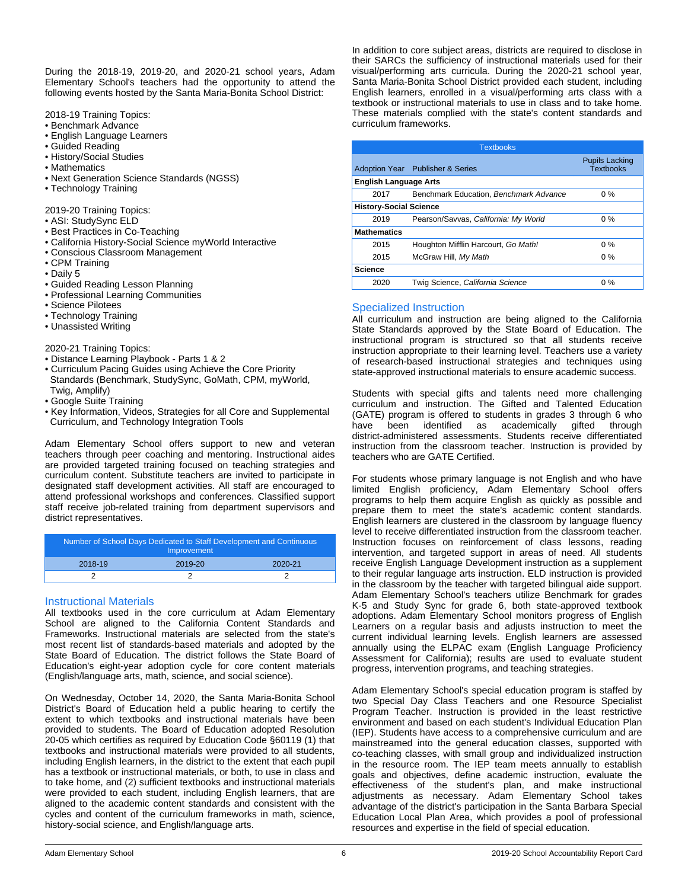During the 2018-19, 2019-20, and 2020-21 school years, Adam Elementary School's teachers had the opportunity to attend the following events hosted by the Santa Maria-Bonita School District:

2018-19 Training Topics:

- Benchmark Advance
- English Language Learners
- Guided Reading
- History/Social Studies
- Mathematics
- Next Generation Science Standards (NGSS)
- Technology Training

2019-20 Training Topics:

- ASI: StudySync ELD
- Best Practices in Co-Teaching
- California History-Social Science myWorld Interactive
- Conscious Classroom Management
- CPM Training
- Daily 5
- Guided Reading Lesson Planning
- Professional Learning Communities
- Science Pilotees
- Technology Training
- Unassisted Writing

2020-21 Training Topics:

- Distance Learning Playbook Parts 1 & 2
- Curriculum Pacing Guides using Achieve the Core Priority Standards (Benchmark, StudySync, GoMath, CPM, myWorld, Twig, Amplify)
- Google Suite Training
- Key Information, Videos, Strategies for all Core and Supplemental Curriculum, and Technology Integration Tools

Adam Elementary School offers support to new and veteran teachers through peer coaching and mentoring. Instructional aides are provided targeted training focused on teaching strategies and curriculum content. Substitute teachers are invited to participate in designated staff development activities. All staff are encouraged to attend professional workshops and conferences. Classified support staff receive job-related training from department supervisors and district representatives.

| Number of School Days Dedicated to Staff Development and Continuous<br>Improvement |         |         |  |  |
|------------------------------------------------------------------------------------|---------|---------|--|--|
| 2018-19                                                                            | 2019-20 | 2020-21 |  |  |
|                                                                                    |         |         |  |  |

### Instructional Materials

All textbooks used in the core curriculum at Adam Elementary School are aligned to the California Content Standards and Frameworks. Instructional materials are selected from the state's most recent list of standards-based materials and adopted by the State Board of Education. The district follows the State Board of Education's eight-year adoption cycle for core content materials (English/language arts, math, science, and social science).

On Wednesday, October 14, 2020, the Santa Maria-Bonita School District's Board of Education held a public hearing to certify the extent to which textbooks and instructional materials have been provided to students. The Board of Education adopted Resolution 20-05 which certifies as required by Education Code §60119 (1) that textbooks and instructional materials were provided to all students, including English learners, in the district to the extent that each pupil has a textbook or instructional materials, or both, to use in class and to take home, and (2) sufficient textbooks and instructional materials were provided to each student, including English learners, that are aligned to the academic content standards and consistent with the cycles and content of the curriculum frameworks in math, science, history-social science, and English/language arts.

In addition to core subject areas, districts are required to disclose in their SARCs the sufficiency of instructional materials used for their visual/performing arts curricula. During the 2020-21 school year, Santa Maria-Bonita School District provided each student, including English learners, enrolled in a visual/performing arts class with a textbook or instructional materials to use in class and to take home. These materials complied with the state's content standards and curriculum frameworks.

| <b>Textbooks</b>              |                                        |                                           |  |  |  |
|-------------------------------|----------------------------------------|-------------------------------------------|--|--|--|
|                               | Adoption Year Publisher & Series       | <b>Pupils Lacking</b><br><b>Textbooks</b> |  |  |  |
| <b>English Language Arts</b>  |                                        |                                           |  |  |  |
| 2017                          | Benchmark Education, Benchmark Advance | $0\%$                                     |  |  |  |
| <b>History-Social Science</b> |                                        |                                           |  |  |  |
| 2019                          | Pearson/Savvas, California: My World   | $0\%$                                     |  |  |  |
| <b>Mathematics</b>            |                                        |                                           |  |  |  |
| 2015                          | Houghton Mifflin Harcourt, Go Math!    | $0\%$                                     |  |  |  |
| 2015                          | McGraw Hill, My Math                   | $0\%$                                     |  |  |  |
| <b>Science</b>                |                                        |                                           |  |  |  |
| 2020                          | Twig Science, California Science       | $0\%$                                     |  |  |  |

### Specialized Instruction

All curriculum and instruction are being aligned to the California State Standards approved by the State Board of Education. The instructional program is structured so that all students receive instruction appropriate to their learning level. Teachers use a variety of research-based instructional strategies and techniques using state-approved instructional materials to ensure academic success.

Students with special gifts and talents need more challenging curriculum and instruction. The Gifted and Talented Education (GATE) program is offered to students in grades 3 through 6 who have been identified as academically gifted through district-administered assessments. Students receive differentiated instruction from the classroom teacher. Instruction is provided by teachers who are GATE Certified.

For students whose primary language is not English and who have limited English proficiency, Adam Elementary School offers programs to help them acquire English as quickly as possible and prepare them to meet the state's academic content standards. English learners are clustered in the classroom by language fluency level to receive differentiated instruction from the classroom teacher. Instruction focuses on reinforcement of class lessons, reading intervention, and targeted support in areas of need. All students receive English Language Development instruction as a supplement to their regular language arts instruction. ELD instruction is provided in the classroom by the teacher with targeted bilingual aide support. Adam Elementary School's teachers utilize Benchmark for grades K-5 and Study Sync for grade 6, both state-approved textbook adoptions. Adam Elementary School monitors progress of English Learners on a regular basis and adjusts instruction to meet the current individual learning levels. English learners are assessed annually using the ELPAC exam (English Language Proficiency Assessment for California); results are used to evaluate student progress, intervention programs, and teaching strategies.

Adam Elementary School's special education program is staffed by two Special Day Class Teachers and one Resource Specialist Program Teacher. Instruction is provided in the least restrictive environment and based on each student's Individual Education Plan (IEP). Students have access to a comprehensive curriculum and are mainstreamed into the general education classes, supported with co-teaching classes, with small group and individualized instruction in the resource room. The IEP team meets annually to establish goals and objectives, define academic instruction, evaluate the effectiveness of the student's plan, and make instructional adjustments as necessary. Adam Elementary School takes advantage of the district's participation in the Santa Barbara Special Education Local Plan Area, which provides a pool of professional resources and expertise in the field of special education.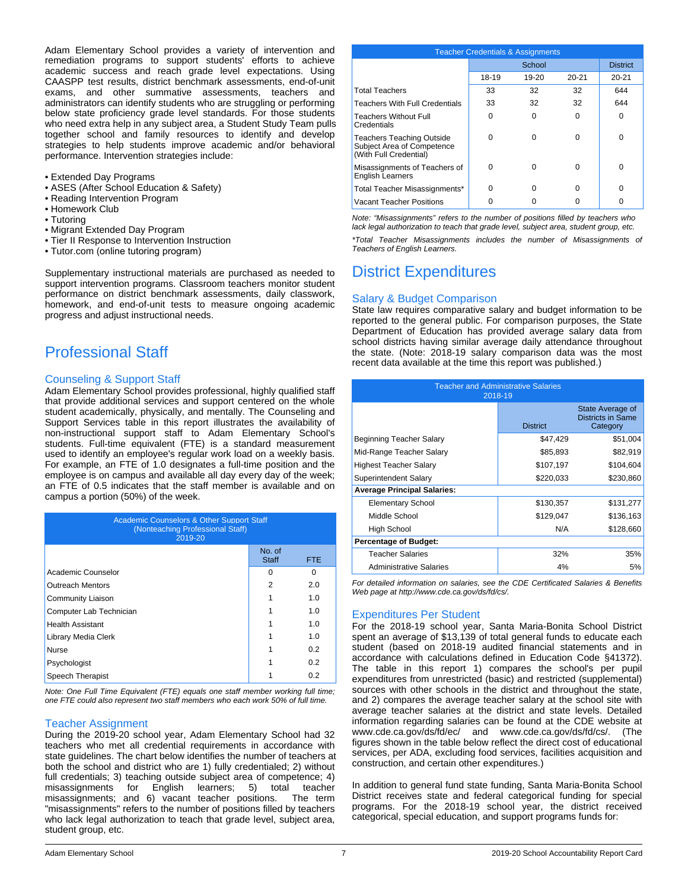Adam Elementary School provides a variety of intervention and remediation programs to support students' efforts to achieve academic success and reach grade level expectations. Using CAASPP test results, district benchmark assessments, end-of-unit exams, and other summative assessments, teachers and administrators can identify students who are struggling or performing below state proficiency grade level standards. For those students who need extra help in any subject area, a Student Study Team pulls together school and family resources to identify and develop strategies to help students improve academic and/or behavioral performance. Intervention strategies include:

- Extended Day Programs
- ASES (After School Education & Safety)
- Reading Intervention Program
- Homework Club
- Tutoring
- Migrant Extended Day Program
- Tier II Response to Intervention Instruction
- Tutor.com (online tutoring program)

Supplementary instructional materials are purchased as needed to support intervention programs. Classroom teachers monitor student performance on district benchmark assessments, daily classwork, homework, and end-of-unit tests to measure ongoing academic progress and adjust instructional needs.

### Professional Staff

### Counseling & Support Staff

Adam Elementary School provides professional, highly qualified staff that provide additional services and support centered on the whole student academically, physically, and mentally. The Counseling and Support Services table in this report illustrates the availability of non-instructional support staff to Adam Elementary School's students. Full-time equivalent (FTE) is a standard measurement used to identify an employee's regular work load on a weekly basis. For example, an FTE of 1.0 designates a full-time position and the employee is on campus and available all day every day of the week; an FTE of 0.5 indicates that the staff member is available and on campus a portion (50%) of the week.

| <b>Academic Counselors &amp; Other Support Staff</b><br>(Nonteaching Professional Staff)<br>2019-20 |                        |      |  |  |
|-----------------------------------------------------------------------------------------------------|------------------------|------|--|--|
|                                                                                                     | No. of<br><b>Staff</b> | FTE. |  |  |
| Academic Counselor                                                                                  | O                      | O    |  |  |
| <b>Outreach Mentors</b>                                                                             | 2                      | 2.0  |  |  |
| Community Liaison                                                                                   |                        | 1.0  |  |  |
| Computer Lab Technician                                                                             |                        | 1.0  |  |  |
| <b>Health Assistant</b>                                                                             |                        | 1.0  |  |  |
| Library Media Clerk                                                                                 |                        | 1.0  |  |  |
| <b>Nurse</b>                                                                                        |                        | 0.2  |  |  |
| Psychologist                                                                                        |                        | 0.2  |  |  |
| Speech Therapist                                                                                    |                        | 0.2  |  |  |

*Note: One Full Time Equivalent (FTE) equals one staff member working full time; one FTE could also represent two staff members who each work 50% of full time.*

### Teacher Assignment

During the 2019-20 school year, Adam Elementary School had 32 teachers who met all credential requirements in accordance with state guidelines. The chart below identifies the number of teachers at both the school and district who are 1) fully credentialed; 2) without full credentials; 3) teaching outside subject area of competence; 4) misassignments for English learners; 5) total teacher<br>misassignments; and 6) vacant teacher positions. The term misassignments; and 6) vacant teacher positions. "misassignments" refers to the number of positions filled by teachers who lack legal authorization to teach that grade level, subject area, student group, etc.

| <b>Teacher Credentials &amp; Assignments</b>                                             |       |           |           |                 |
|------------------------------------------------------------------------------------------|-------|-----------|-----------|-----------------|
|                                                                                          |       | School    |           | <b>District</b> |
|                                                                                          | 18-19 | $19 - 20$ | $20 - 21$ | $20 - 21$       |
| <b>Total Teachers</b>                                                                    | 33    | 32        | 32        | 644             |
| <b>Teachers With Full Credentials</b>                                                    | 33    | 32        | 32        | 644             |
| <b>Teachers Without Full</b><br>Credentials                                              | ŋ     | 0         | 0         | U               |
| <b>Teachers Teaching Outside</b><br>Subject Area of Competence<br>(With Full Credential) | ŋ     | O         | U         | $\Omega$        |
| Misassignments of Teachers of<br><b>English Learners</b>                                 | ŋ     | O         | 0         | $\Omega$        |
| Total Teacher Misassignments*                                                            | O     | O         | 0         | U               |
| <b>Vacant Teacher Positions</b>                                                          |       |           |           |                 |

*Note: "Misassignments" refers to the number of positions filled by teachers who lack legal authorization to teach that grade level, subject area, student group, etc. \*Total Teacher Misassignments includes the number of Misassignments of Teachers of English Learners.*

# District Expenditures

### Salary & Budget Comparison

State law requires comparative salary and budget information to be reported to the general public. For comparison purposes, the State Department of Education has provided average salary data from school districts having similar average daily attendance throughout the state. (Note: 2018-19 salary comparison data was the most recent data available at the time this report was published.)

| <b>Teacher and Administrative Salaries</b><br>2018-19 |                 |                                                          |  |  |
|-------------------------------------------------------|-----------------|----------------------------------------------------------|--|--|
|                                                       | <b>District</b> | State Average of<br><b>Districts in Same</b><br>Category |  |  |
| Beginning Teacher Salary                              | \$47,429        | \$51,004                                                 |  |  |
| Mid-Range Teacher Salary                              | \$85,893        | \$82,919                                                 |  |  |
| <b>Highest Teacher Salary</b>                         | \$107,197       | \$104,604                                                |  |  |
| Superintendent Salary                                 | \$220,033       | \$230,860                                                |  |  |
| <b>Average Principal Salaries:</b>                    |                 |                                                          |  |  |
| <b>Elementary School</b>                              | \$130,357       | \$131,277                                                |  |  |
| Middle School                                         | \$129,047       | \$136,163                                                |  |  |
| High School                                           | N/A             | \$128,660                                                |  |  |
| <b>Percentage of Budget:</b>                          |                 |                                                          |  |  |
| Teacher Salaries                                      | 32%             | 35%                                                      |  |  |
| <b>Administrative Salaries</b>                        | 4%              | 5%                                                       |  |  |

*For detailed information on salaries, see the CDE Certificated Salaries & Benefits Web page at http://www.cde.ca.gov/ds/fd/cs/.*

### Expenditures Per Student

For the 2018-19 school year, Santa Maria-Bonita School District spent an average of \$13,139 of total general funds to educate each student (based on 2018-19 audited financial statements and in accordance with calculations defined in Education Code §41372). The table in this report 1) compares the school's per pupil expenditures from unrestricted (basic) and restricted (supplemental) sources with other schools in the district and throughout the state, and 2) compares the average teacher salary at the school site with average teacher salaries at the district and state levels. Detailed information regarding salaries can be found at the CDE website at www.cde.ca.gov/ds/fd/ec/ and www.cde.ca.gov/ds/fd/cs/. (The figures shown in the table below reflect the direct cost of educational services, per ADA, excluding food services, facilities acquisition and construction, and certain other expenditures.)

In addition to general fund state funding, Santa Maria-Bonita School District receives state and federal categorical funding for special programs. For the 2018-19 school year, the district received categorical, special education, and support programs funds for: